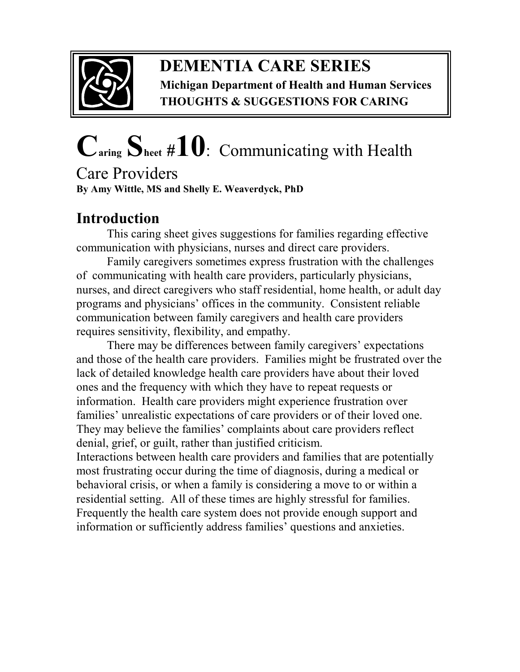

## **DEMENTIA CARE SERIES Michigan Department of Health and Human Services THOUGHTS & SUGGESTIONS FOR CARING**

# **Caring Sheet #10**:Communicating with Health

Care Providers **By Amy Wittle, MS and Shelly E. Weaverdyck, PhD** 

## **Introduction**

This caring sheet gives suggestions for families regarding effective communication with physicians, nurses and direct care providers.

Family caregivers sometimes express frustration with the challenges of communicating with health care providers, particularly physicians, nurses, and direct caregivers who staff residential, home health, or adult day programs and physicians' offices in the community. Consistent reliable communication between family caregivers and health care providers requires sensitivity, flexibility, and empathy.

There may be differences between family caregivers' expectations and those of the health care providers. Families might be frustrated over the lack of detailed knowledge health care providers have about their loved ones and the frequency with which they have to repeat requests or information. Health care providers might experience frustration over families' unrealistic expectations of care providers or of their loved one. They may believe the families' complaints about care providers reflect denial, grief, or guilt, rather than justified criticism.

Interactions between health care providers and families that are potentially most frustrating occur during the time of diagnosis, during a medical or behavioral crisis, or when a family is considering a move to or within a residential setting. All of these times are highly stressful for families. Frequently the health care system does not provide enough support and information or sufficiently address families' questions and anxieties.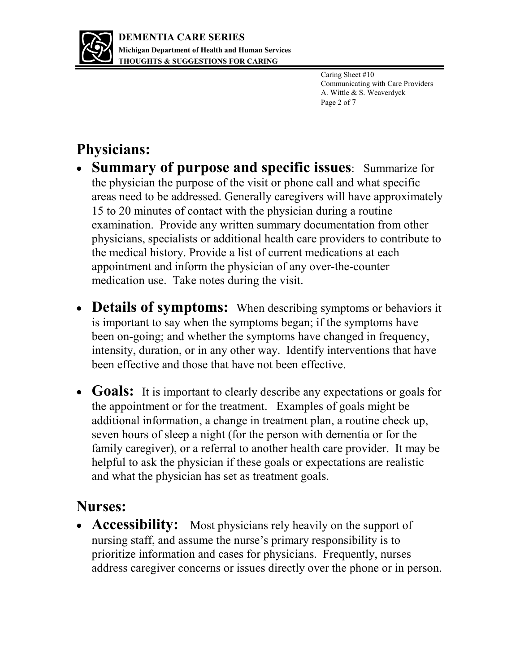

Caring Sheet #10 Communicating with Care Providers A. Wittle & S. Weaverdyck Page 2 of 7

# **Physicians:**

- **Summary of purpose and specific issues**: Summarize for the physician the purpose of the visit or phone call and what specific areas need to be addressed. Generally caregivers will have approximately 15 to 20 minutes of contact with the physician during a routine examination. Provide any written summary documentation from other physicians, specialists or additional health care providers to contribute to the medical history. Provide a list of current medications at each appointment and inform the physician of any over-the-counter medication use. Take notes during the visit.
- **Details of symptoms:** When describing symptoms or behaviors it is important to say when the symptoms began; if the symptoms have been on-going; and whether the symptoms have changed in frequency, intensity, duration, or in any other way. Identify interventions that have been effective and those that have not been effective.
- **Goals:** It is important to clearly describe any expectations or goals for the appointment or for the treatment. Examples of goals might be additional information, a change in treatment plan, a routine check up, seven hours of sleep a night (for the person with dementia or for the family caregiver), or a referral to another health care provider. It may be helpful to ask the physician if these goals or expectations are realistic and what the physician has set as treatment goals.

### **Nurses:**

• **Accessibility:** Most physicians rely heavily on the support of nursing staff, and assume the nurse's primary responsibility is to prioritize information and cases for physicians. Frequently, nurses address caregiver concerns or issues directly over the phone or in person.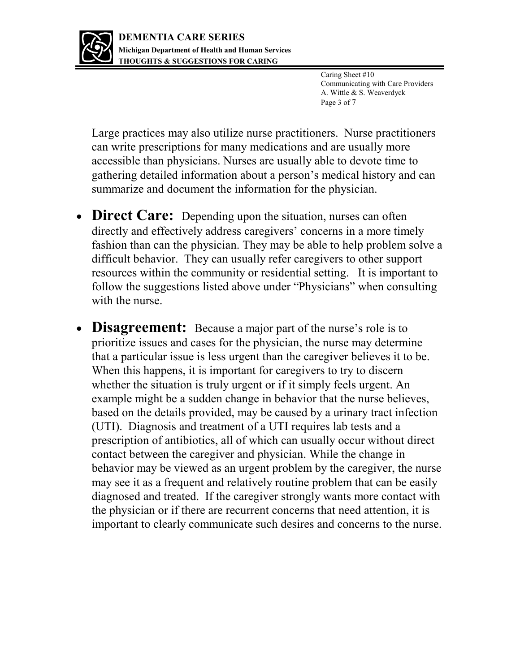

Caring Sheet #10 Communicating with Care Providers A. Wittle & S. Weaverdyck Page 3 of 7

Large practices may also utilize nurse practitioners. Nurse practitioners can write prescriptions for many medications and are usually more accessible than physicians. Nurses are usually able to devote time to gathering detailed information about a person's medical history and can summarize and document the information for the physician.

- **Direct Care:** Depending upon the situation, nurses can often directly and effectively address caregivers' concerns in a more timely fashion than can the physician. They may be able to help problem solve a difficult behavior. They can usually refer caregivers to other support resources within the community or residential setting. It is important to follow the suggestions listed above under "Physicians" when consulting with the nurse.
- **Disagreement:** Because a major part of the nurse's role is to prioritize issues and cases for the physician, the nurse may determine that a particular issue is less urgent than the caregiver believes it to be. When this happens, it is important for caregivers to try to discern whether the situation is truly urgent or if it simply feels urgent. An example might be a sudden change in behavior that the nurse believes, based on the details provided, may be caused by a urinary tract infection (UTI). Diagnosis and treatment of a UTI requires lab tests and a prescription of antibiotics, all of which can usually occur without direct contact between the caregiver and physician. While the change in behavior may be viewed as an urgent problem by the caregiver, the nurse may see it as a frequent and relatively routine problem that can be easily diagnosed and treated. If the caregiver strongly wants more contact with the physician or if there are recurrent concerns that need attention, it is important to clearly communicate such desires and concerns to the nurse.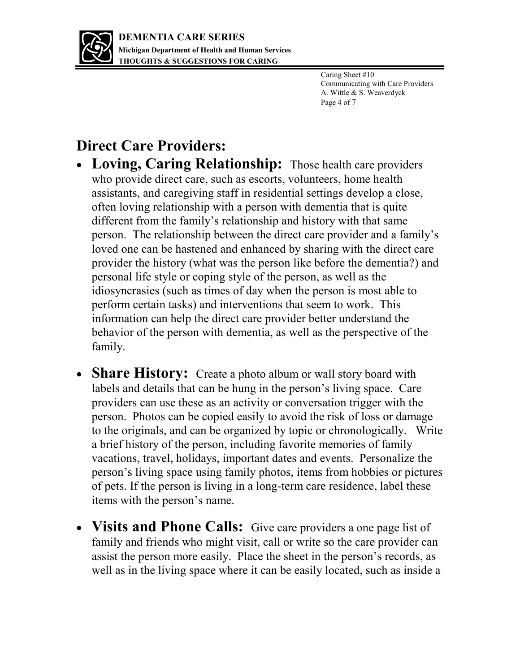

Caring Sheet #10 Communicating with Care Providers A. Wittle & S. Weaverdyck Page 4 of 7

## **Direct Care Providers:**

- **Loving, Caring Relationship:** Those health care providers who provide direct care, such as escorts, volunteers, home health assistants, and caregiving staff in residential settings develop a close, often loving relationship with a person with dementia that is quite different from the family's relationship and history with that same person. The relationship between the direct care provider and a family's loved one can be hastened and enhanced by sharing with the direct care provider the history (what was the person like before the dementia?) and personal life style or coping style of the person, as well as the idiosyncrasies (such as times of day when the person is most able to perform certain tasks) and interventions that seem to work. This information can help the direct care provider better understand the behavior of the person with dementia, as well as the perspective of the family.
- **Share History:** Create a photo album or wall story board with labels and details that can be hung in the person's living space. Care providers can use these as an activity or conversation trigger with the person. Photos can be copied easily to avoid the risk of loss or damage to the originals, and can be organized by topic or chronologically. Write a brief history of the person, including favorite memories of family vacations, travel, holidays, important dates and events. Personalize the person's living space using family photos, items from hobbies or pictures of pets. If the person is living in a long-term care residence, label these items with the person's name.
- **Visits and Phone Calls:** Give care providers a one page list of family and friends who might visit, call or write so the care provider can assist the person more easily. Place the sheet in the person's records, as well as in the living space where it can be easily located, such as inside a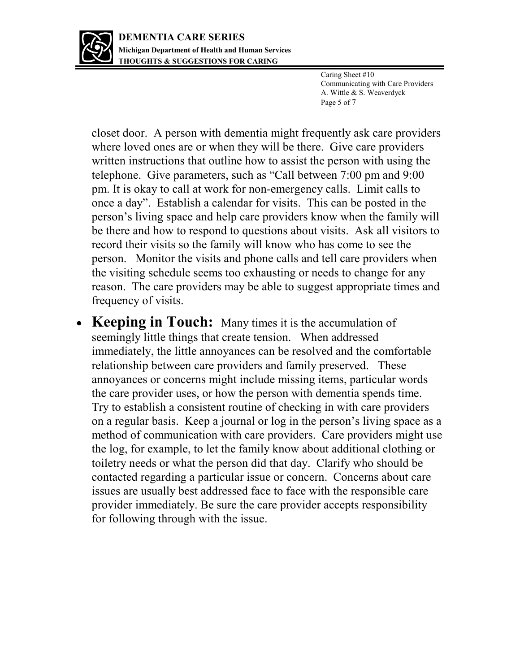

Caring Sheet #10 Communicating with Care Providers A. Wittle & S. Weaverdyck Page 5 of 7

closet door. A person with dementia might frequently ask care providers where loved ones are or when they will be there. Give care providers written instructions that outline how to assist the person with using the telephone. Give parameters, such as "Call between 7:00 pm and 9:00 pm. It is okay to call at work for non-emergency calls. Limit calls to once a day". Establish a calendar for visits. This can be posted in the person's living space and help care providers know when the family will be there and how to respond to questions about visits. Ask all visitors to record their visits so the family will know who has come to see the person. Monitor the visits and phone calls and tell care providers when the visiting schedule seems too exhausting or needs to change for any reason. The care providers may be able to suggest appropriate times and frequency of visits.

 **Keeping in Touch:** Many times it is the accumulation of seemingly little things that create tension. When addressed immediately, the little annoyances can be resolved and the comfortable relationship between care providers and family preserved. These annoyances or concerns might include missing items, particular words the care provider uses, or how the person with dementia spends time. Try to establish a consistent routine of checking in with care providers on a regular basis. Keep a journal or log in the person's living space as a method of communication with care providers. Care providers might use the log, for example, to let the family know about additional clothing or toiletry needs or what the person did that day. Clarify who should be contacted regarding a particular issue or concern. Concerns about care issues are usually best addressed face to face with the responsible care provider immediately. Be sure the care provider accepts responsibility for following through with the issue.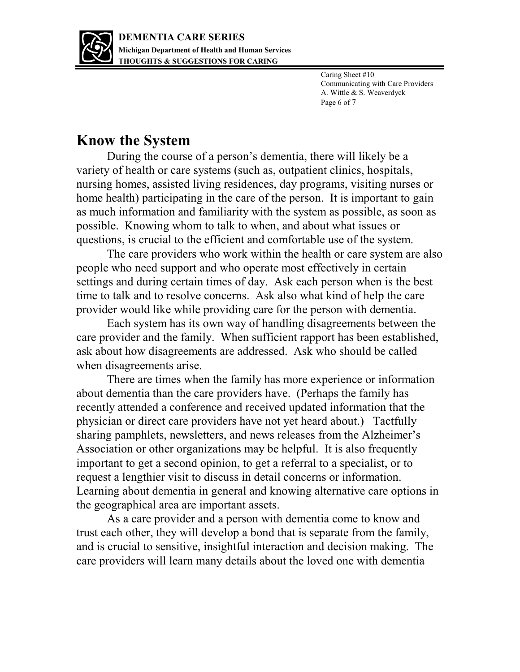

Caring Sheet #10 Communicating with Care Providers A. Wittle & S. Weaverdyck Page 6 of 7

### **Know the System**

During the course of a person's dementia, there will likely be a variety of health or care systems (such as, outpatient clinics, hospitals, nursing homes, assisted living residences, day programs, visiting nurses or home health) participating in the care of the person. It is important to gain as much information and familiarity with the system as possible, as soon as possible. Knowing whom to talk to when, and about what issues or questions, is crucial to the efficient and comfortable use of the system.

The care providers who work within the health or care system are also people who need support and who operate most effectively in certain settings and during certain times of day. Ask each person when is the best time to talk and to resolve concerns. Ask also what kind of help the care provider would like while providing care for the person with dementia.

Each system has its own way of handling disagreements between the care provider and the family. When sufficient rapport has been established, ask about how disagreements are addressed. Ask who should be called when disagreements arise.

There are times when the family has more experience or information about dementia than the care providers have. (Perhaps the family has recently attended a conference and received updated information that the physician or direct care providers have not yet heard about.) Tactfully sharing pamphlets, newsletters, and news releases from the Alzheimer's Association or other organizations may be helpful. It is also frequently important to get a second opinion, to get a referral to a specialist, or to request a lengthier visit to discuss in detail concerns or information. Learning about dementia in general and knowing alternative care options in the geographical area are important assets.

As a care provider and a person with dementia come to know and trust each other, they will develop a bond that is separate from the family, and is crucial to sensitive, insightful interaction and decision making. The care providers will learn many details about the loved one with dementia